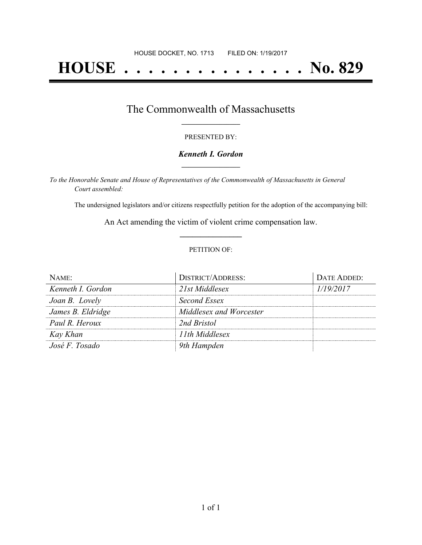# **HOUSE . . . . . . . . . . . . . . . No. 829**

### The Commonwealth of Massachusetts **\_\_\_\_\_\_\_\_\_\_\_\_\_\_\_\_\_**

#### PRESENTED BY:

#### *Kenneth I. Gordon* **\_\_\_\_\_\_\_\_\_\_\_\_\_\_\_\_\_**

*To the Honorable Senate and House of Representatives of the Commonwealth of Massachusetts in General Court assembled:*

The undersigned legislators and/or citizens respectfully petition for the adoption of the accompanying bill:

An Act amending the victim of violent crime compensation law. **\_\_\_\_\_\_\_\_\_\_\_\_\_\_\_**

#### PETITION OF:

| $N$ AME:          | <b>DISTRICT/ADDRESS:</b> | DATE ADDED: |
|-------------------|--------------------------|-------------|
| Kenneth I. Gordon | 21st Middlesex           | 1/19/2017   |
| Joan B. Lovely    | Second Essex             |             |
| James B. Eldridge | Middlesex and Worcester  |             |
| Paul R. Heroux    | 2nd Bristol              |             |
| Kay Khan          | 11th Middlesex           |             |
| José F. Tosado    | 9th Hampden              |             |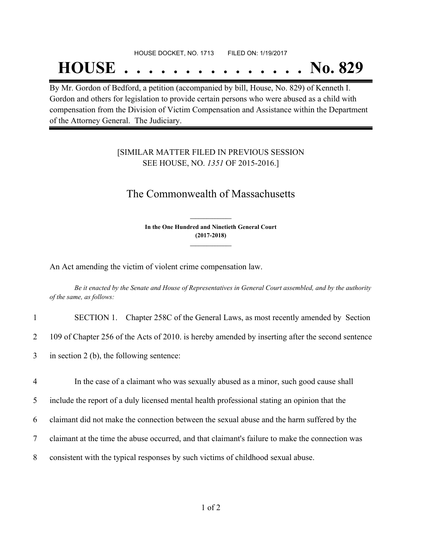#### HOUSE DOCKET, NO. 1713 FILED ON: 1/19/2017

## **HOUSE . . . . . . . . . . . . . . . No. 829**

By Mr. Gordon of Bedford, a petition (accompanied by bill, House, No. 829) of Kenneth I. Gordon and others for legislation to provide certain persons who were abused as a child with compensation from the Division of Victim Compensation and Assistance within the Department of the Attorney General. The Judiciary.

#### [SIMILAR MATTER FILED IN PREVIOUS SESSION SEE HOUSE, NO. *1351* OF 2015-2016.]

## The Commonwealth of Massachusetts

**In the One Hundred and Ninetieth General Court (2017-2018) \_\_\_\_\_\_\_\_\_\_\_\_\_\_\_**

**\_\_\_\_\_\_\_\_\_\_\_\_\_\_\_**

An Act amending the victim of violent crime compensation law.

Be it enacted by the Senate and House of Representatives in General Court assembled, and by the authority *of the same, as follows:*

| $\mathbf{1}$   | SECTION 1. Chapter 258C of the General Laws, as most recently amended by Section                 |
|----------------|--------------------------------------------------------------------------------------------------|
| 2              | 109 of Chapter 256 of the Acts of 2010. is hereby amended by inserting after the second sentence |
| 3              | in section 2 (b), the following sentence:                                                        |
| $\overline{4}$ | In the case of a claimant who was sexually abused as a minor, such good cause shall              |
| 5              | include the report of a duly licensed mental health professional stating an opinion that the     |
| 6              | claimant did not make the connection between the sexual abuse and the harm suffered by the       |

- 
- 7 claimant at the time the abuse occurred, and that claimant's failure to make the connection was
- 8 consistent with the typical responses by such victims of childhood sexual abuse.